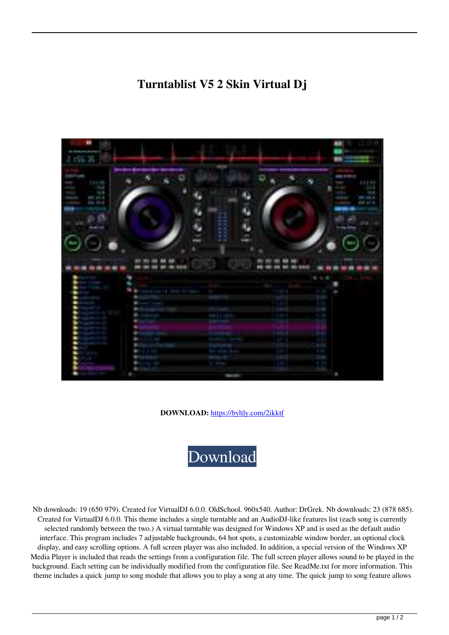## **Turntablist V5 2 Skin Virtual Dj**



**DOWNLOAD:** <https://byltly.com/2ikktf>



 Nb downloads: 19 (650 979). Created for VirtualDJ 6.0.0. OldSchool. 960x540. Author: DrGrek. Nb downloads: 23 (878 685). Created for VirtualDJ 6.0.0. This theme includes a single turntable and an AudioDJ-like features list (each song is currently selected randomly between the two.) A virtual turntable was designed for Windows XP and is used as the default audio interface. This program includes 7 adjustable backgrounds, 64 hot spots, a customizable window border, an optional clock display, and easy scrolling options. A full screen player was also included. In addition, a special version of the Windows XP Media Player is included that reads the settings from a configuration file. The full screen player allows sound to be played in the background. Each setting can be individually modified from the configuration file. See ReadMe.txt for more information. This theme includes a quick jump to song module that allows you to play a song at any time. The quick jump to song feature allows